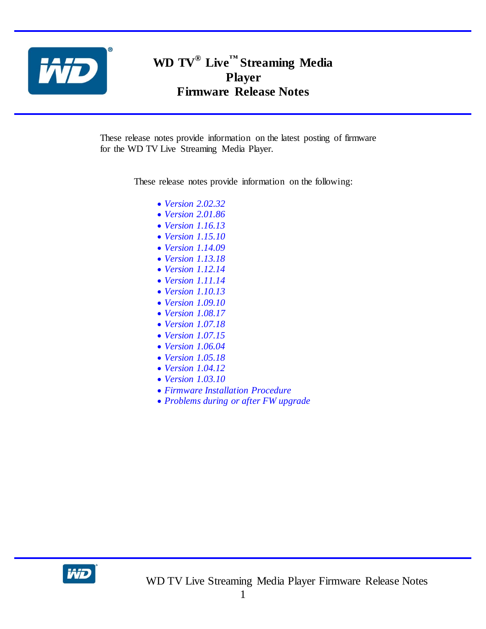

# **WD TV® Live™ Streaming Media Player Firmware Release Notes**

These release notes provide information on the latest posting of firmware for the WD TV Live Streaming Media Player.

These release notes provide information on the following:

- *Version 2.02.32*
- *Version 2.01.86*
- *Version 1.16.13*
- *Version 1.15.10*
- *Version 1.14.09*
- *Version 1.13.18*
- *Version 1.12.14*
- *Version 1.11.14*
- *Version 1.10.13*
- *Version 1.09.10*
- *Version 1.08.17 Version 1.07.18*
- *Version 1.07.15*
- *Version 1.06.04*
- *Version 1.05.18*
- *Version 1.04.12*
- *Version 1.03.10*
- *Firmware Installation Procedure*
- *Problems during or after FW upgrade*

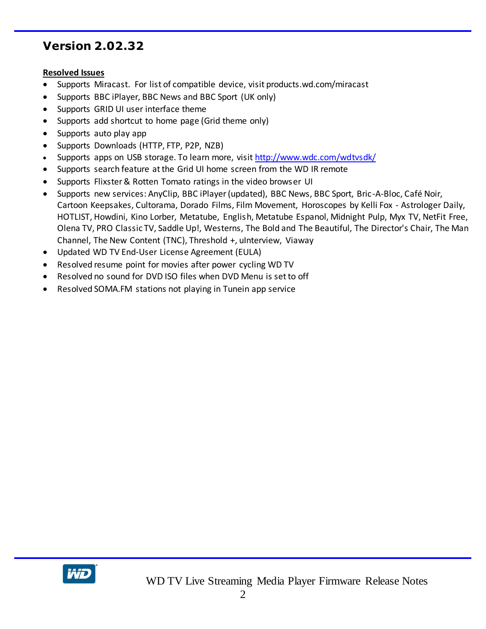# **Version 2.02.32**

### **Resolved Issues**

- Supports Miracast. For list of compatible device, visit products.wd.com/miracast
- Supports BBC iPlayer, BBC News and BBC Sport (UK only)
- Supports GRID UI user interface theme
- Supports add shortcut to home page (Grid theme only)
- Supports auto play app
- Supports Downloads (HTTP, FTP, P2P, NZB)
- Supports apps on USB storage. To learn more, visit<http://www.wdc.com/wdtvsdk/>
- Supports search feature at the Grid UI home screen from the WD IR remote
- Supports Flixster & Rotten Tomato ratings in the video browser UI
- Supports new services: AnyClip, BBC iPlayer (updated), BBC News, BBC Sport, Bric-A-Bloc, Café Noir, Cartoon Keepsakes, Cultorama, Dorado Films, Film Movement, Horoscopes by Kelli Fox - Astrologer Daily, HOTLIST, Howdini, Kino Lorber, Metatube, English, Metatube Espanol, Midnight Pulp, Myx TV, NetFit Free, Olena TV, PRO Classic TV, Saddle Up!, Westerns, The Bold and The Beautiful, The Director's Chair, The Man Channel, The New Content (TNC), Threshold +, uInterview, Viaway
- Updated WD TV End-User License Agreement (EULA)
- Resolved resume point for movies after power cycling WD TV
- Resolved no sound for DVD ISO files when DVD Menu is set to off
- Resolved SOMA.FM stations not playing in Tunein app service

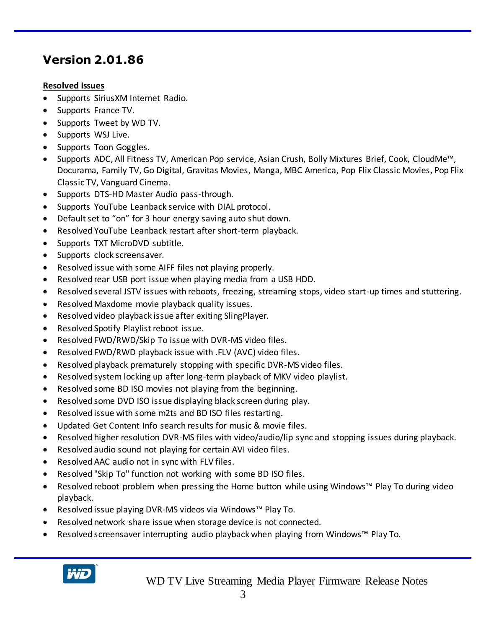# **Version 2.01.86**

### **Resolved Issues**

- Supports SiriusXM Internet Radio.
- Supports France TV.
- Supports Tweet by WD TV.
- Supports WSJ Live.
- Supports Toon Goggles.
- Supports ADC, All Fitness TV, American Pop service, Asian Crush, Bolly Mixtures Brief, Cook, CloudMe™, Docurama, Family TV, Go Digital, Gravitas Movies, Manga, MBC America, Pop Flix Classic Movies, Pop Flix Classic TV, Vanguard Cinema.
- Supports DTS-HD Master Audio pass-through.
- Supports YouTube Leanback service with DIAL protocol.
- Default set to "on" for 3 hour energy saving auto shut down.
- Resolved YouTube Leanback restart after short-term playback.
- Supports TXT MicroDVD subtitle.
- Supports clock screensaver.
- Resolved issue with some AIFF files not playing properly.
- Resolved rear USB port issue when playing media from a USB HDD.
- Resolved several JSTV issues with reboots, freezing, streaming stops, video start-up times and stuttering.
- Resolved Maxdome movie playback quality issues.
- Resolved video playback issue after exiting SlingPlayer.
- Resolved Spotify Playlist reboot issue.
- Resolved FWD/RWD/Skip To issue with DVR-MS video files.
- Resolved FWD/RWD playback issue with .FLV (AVC) video files.
- Resolved playback prematurely stopping with specific DVR-MS video files.
- Resolved system locking up after long-term playback of MKV video playlist.
- Resolved some BD ISO movies not playing from the beginning.
- Resolved some DVD ISO issue displaying black screen during play.
- Resolved issue with some m2ts and BD ISO files restarting.
- Updated Get Content Info search results for music & movie files.
- Resolved higher resolution DVR-MS files with video/audio/lip sync and stopping issues during playback.
- Resolved audio sound not playing for certain AVI video files.
- Resolved AAC audio not in sync with FLV files.
- Resolved "Skip To" function not working with some BD ISO files.
- Resolved reboot problem when pressing the Home button while using Windows™ Play To during video playback.
- Resolved issue playing DVR-MS videos via Windows™ Play To.
- Resolved network share issue when storage device is not connected.
- Resolved screensaver interrupting audio playback when playing from Windows™ Play To.

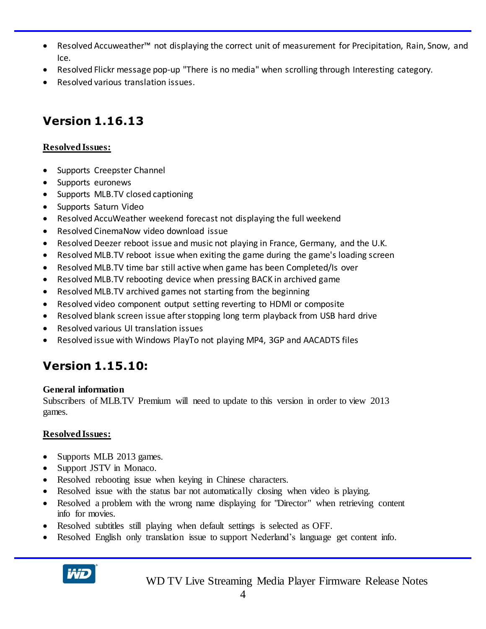- Resolved Accuweather™ not displaying the correct unit of measurement for Precipitation, Rain, Snow, and Ice.
- Resolved Flickr message pop-up "There is no media" when scrolling through Interesting category.
- Resolved various translation issues.

# **Version 1.16.13**

### **Resolved Issues:**

- Supports Creepster Channel
- Supports euronews
- Supports MLB.TV closed captioning
- Supports Saturn Video
- Resolved AccuWeather weekend forecast not displaying the full weekend
- Resolved CinemaNow video download issue
- Resolved Deezer reboot issue and music not playing in France, Germany, and the U.K.
- Resolved MLB.TV reboot issue when exiting the game during the game's loading screen
- Resolved MLB.TV time bar still active when game has been Completed/Is over
- Resolved MLB.TV rebooting device when pressing BACK in archived game
- Resolved MLB.TV archived games not starting from the beginning
- Resolved video component output setting reverting to HDMI or composite
- Resolved blank screen issue after stopping long term playback from USB hard drive
- Resolved various UI translation issues
- Resolved issue with Windows PlayTo not playing MP4, 3GP and AACADTS files

# **Version 1.15.10:**

### **General information**

Subscribers of MLB.TV Premium will need to update to this version in order to view 2013 games.

### **Resolved Issues:**

- Supports MLB 2013 games.
- Support JSTV in Monaco.
- Resolved rebooting issue when keying in Chinese characters.
- Resolved issue with the status bar not automatically closing when video is playing.
- Resolved a problem with the wrong name displaying for "Director" when retrieving content info for movies.
- Resolved subtitles still playing when default settings is selected as OFF.
- Resolved English only translation issue to support Nederland's language get content info.

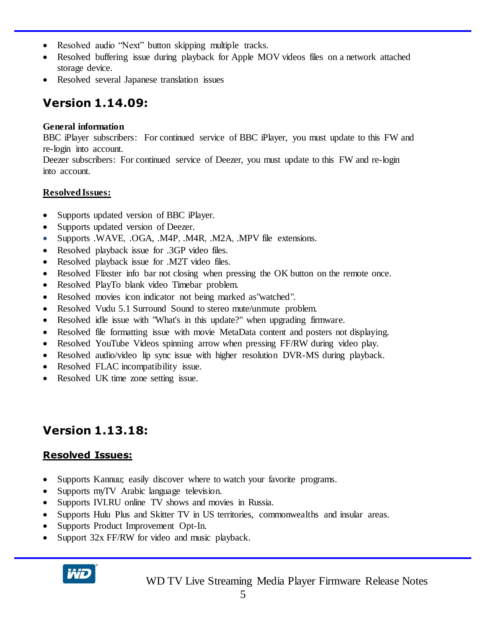- Resolved audio "Next" button skipping multiple tracks.
- Resolved buffering issue during playback for Apple MOV videos files on a network attached storage device.
- Resolved several Japanese translation issues

# **Version 1.14.09:**

#### **General information**

BBC iPlayer subscribers: For continued service of BBC iPlayer, you must update to this FW and re-login into account.

Deezer subscribers: For continued service of Deezer, you must update to this FW and re-login into account.

### **Resolved Issues:**

- Supports updated version of BBC iPlayer.
- Supports updated version of Deezer.
- Supports .WAVE, .OGA, .M4P, .M4R, .M2A, .MPV file extensions.
- Resolved playback issue for .3GP video files.
- Resolved playback issue for .M2T video files.
- Resolved Flixster info bar not closing when pressing the OK button on the remote once.
- Resolved PlayTo blank video Timebar problem.
- Resolved movies icon indicator not being marked as"watched".
- Resolved Vudu 5.1 Surround Sound to stereo mute/unmute problem.
- Resolved idle issue with "What's in this update?" when upgrading firmware.
- Resolved file formatting issue with movie MetaData content and posters not displaying.
- Resolved YouTube Videos spinning arrow when pressing FF/RW during video play.
- Resolved audio/video lip sync issue with higher resolution DVR-MS during playback.
- Resolved FLAC incompatibility issue.
- Resolved UK time zone setting issue.

### **Version 1.13.18:**

### **Resolved Issues:**

- Supports Kannuu; easily discover where to watch your favorite programs.
- Supports myTV Arabic language television.
- Supports IVI.RU online TV shows and movies in Russia.
- Supports Hulu Plus and Skitter TV in US territories, commonwealths and insular areas.
- Supports Product Improvement Opt-In.
- Support 32x FF/RW for video and music playback.

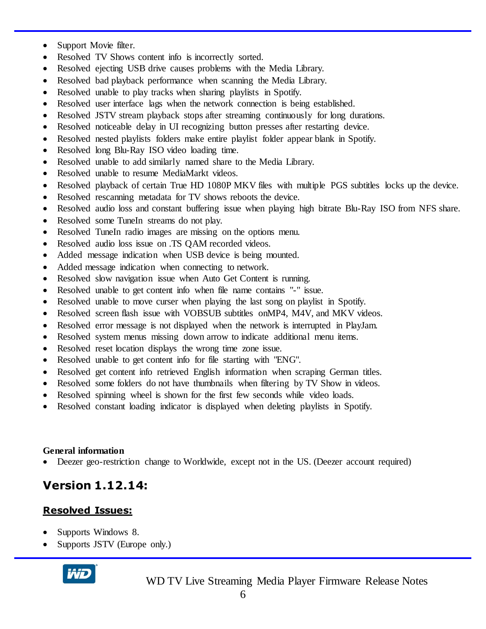- Support Movie filter.
- Resolved TV Shows content info is incorrectly sorted.
- Resolved ejecting USB drive causes problems with the Media Library.
- Resolved bad playback performance when scanning the Media Library.
- Resolved unable to play tracks when sharing playlists in Spotify.
- Resolved user interface lags when the network connection is being established.
- Resolved JSTV stream playback stops after streaming continuously for long durations.
- Resolved noticeable delay in UI recognizing button presses after restarting device.
- Resolved nested playlists folders make entire playlist folder appear blank in Spotify.
- Resolved long Blu-Ray ISO video loading time.
- Resolved unable to add similarly named share to the Media Library.
- Resolved unable to resume MediaMarkt videos.
- Resolved playback of certain True HD 1080P MKV files with multiple PGS subtitles locks up the device.
- Resolved rescanning metadata for TV shows reboots the device.
- Resolved audio loss and constant buffering issue when playing high bitrate Blu-Ray ISO from NFS share.
- Resolved some TuneIn streams do not play.
- Resolved TuneIn radio images are missing on the options menu.
- Resolved audio loss issue on .TS OAM recorded videos.
- Added message indication when USB device is being mounted.
- Added message indication when connecting to network.
- Resolved slow navigation issue when Auto Get Content is running.
- Resolved unable to get content info when file name contains "-" issue.
- Resolved unable to move curser when playing the last song on playlist in Spotify.
- Resolved screen flash issue with VOBSUB subtitles onMP4, M4V, and MKV videos.
- Resolved error message is not displayed when the network is interrupted in PlayJam.
- Resolved system menus missing down arrow to indicate additional menu items.
- Resolved reset location displays the wrong time zone issue.
- Resolved unable to get content info for file starting with "ENG".
- Resolved get content info retrieved English information when scraping German titles.
- Resolved some folders do not have thumbnails when filtering by TV Show in videos.
- Resolved spinning wheel is shown for the first few seconds while video loads.
- Resolved constant loading indicator is displayed when deleting playlists in Spotify.

#### **General information**

Deezer geo-restriction change to Worldwide, except not in the US. (Deezer account required)

### **Version 1.12.14:**

### **Resolved Issues:**

- Supports Windows 8.
- Supports JSTV (Europe only.)

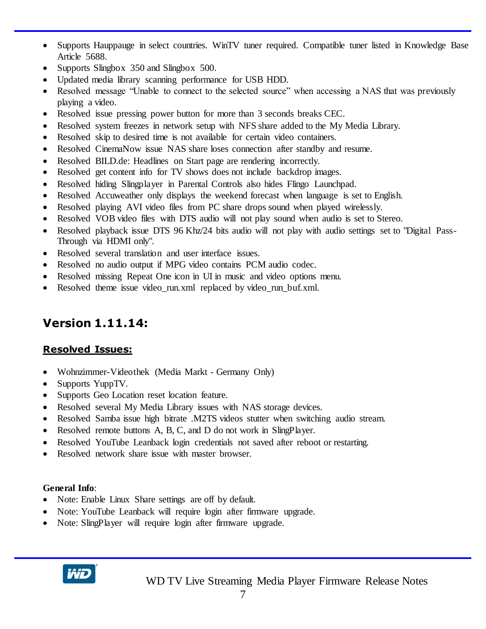- Supports Hauppauge in select countries. WinTV tuner required. Compatible tuner listed in Knowledge Base Article 5688.
- Supports Slingbox 350 and Slingbox 500.
- Updated media library scanning performance for USB HDD.
- Resolved message "Unable to connect to the selected source" when accessing a NAS that was previously playing a video.
- Resolved issue pressing power button for more than 3 seconds breaks CEC.
- Resolved system freezes in network setup with NFS share added to the My Media Library.
- Resolved skip to desired time is not available for certain video containers.
- Resolved CinemaNow issue NAS share loses connection after standby and resume.
- Resolved BILD.de: Headlines on Start page are rendering incorrectly.
- Resolved get content info for TV shows does not include backdrop images.
- Resolved hiding Slingplayer in Parental Controls also hides Flingo Launchpad.
- Resolved Accuweather only displays the weekend forecast when language is set to English.
- Resolved playing AVI video files from PC share drops sound when played wirelessly.
- Resolved VOB video files with DTS audio will not play sound when audio is set to Stereo.
- Resolved playback issue DTS 96 Khz/24 bits audio will not play with audio settings set to "Digital Pass-Through via HDMI only".
- Resolved several translation and user interface issues.
- Resolved no audio output if MPG video contains PCM audio codec.
- Resolved missing Repeat One icon in UI in music and video options menu.
- Resolved theme issue video\_run.xml replaced by video\_run\_buf.xml.

### **Version 1.11.14:**

### **Resolved Issues:**

- Wohnzimmer-Videothek (Media Markt Germany Only)
- Supports YuppTV.
- Supports Geo Location reset location feature.
- Resolved several My Media Library issues with NAS storage devices.
- Resolved Samba issue high bitrate .M2TS videos stutter when switching audio stream.
- Resolved remote buttons A, B, C, and D do not work in SlingPlayer.
- Resolved YouTube Leanback login credentials not saved after reboot or restarting.
- Resolved network share issue with master browser.

### **General Info**:

- Note: Enable Linux Share settings are off by default.
- Note: YouTube Leanback will require login after firmware upgrade.
- Note: SlingPlayer will require login after firmware upgrade.

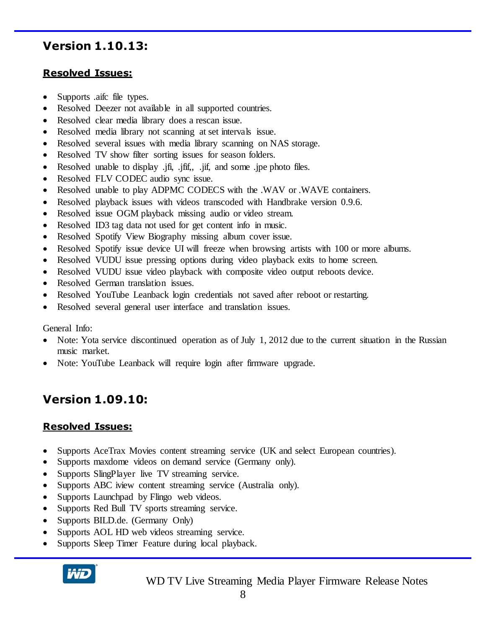### **Version 1.10.13:**

### **Resolved Issues:**

- Supports .aifc file types.
- Resolved Deezer not available in all supported countries.
- Resolved clear media library does a rescan issue.
- Resolved media library not scanning at set intervals issue.
- Resolved several issues with media library scanning on NAS storage.
- Resolved TV show filter sorting issues for season folders.
- Resolved unable to display .jfi, .jff., .jif, and some .jpe photo files.
- Resolved FLV CODEC audio sync issue.
- Resolved unable to play ADPMC CODECS with the .WAV or .WAVE containers.
- Resolved playback issues with videos transcoded with Handbrake version 0.9.6.
- Resolved issue OGM playback missing audio or video stream.
- Resolved ID3 tag data not used for get content info in music.
- Resolved Spotify View Biography missing album cover issue.
- Resolved Spotify issue device UI will freeze when browsing artists with 100 or more albums.
- Resolved VUDU issue pressing options during video playback exits to home screen.
- Resolved VUDU issue video playback with composite video output reboots device.
- Resolved German translation issues.
- Resolved YouTube Leanback login credentials not saved after reboot or restarting.
- Resolved several general user interface and translation issues.

General Info:

- Note: Yota service discontinued operation as of July 1, 2012 due to the current situation in the Russian music market.
- Note: YouTube Leanback will require login after firmware upgrade.

### **Version 1.09.10:**

### **Resolved Issues:**

- Supports AceTrax Movies content streaming service (UK and select European countries).
- Supports maxdome videos on demand service (Germany only).
- Supports SlingPlayer live TV streaming service.
- Supports ABC iview content streaming service (Australia only).
- Supports Launchpad by Flingo web videos.
- Supports Red Bull TV sports streaming service.
- Supports BILD.de. (Germany Only)
- Supports AOL HD web videos streaming service.
- Supports Sleep Timer Feature during local playback.

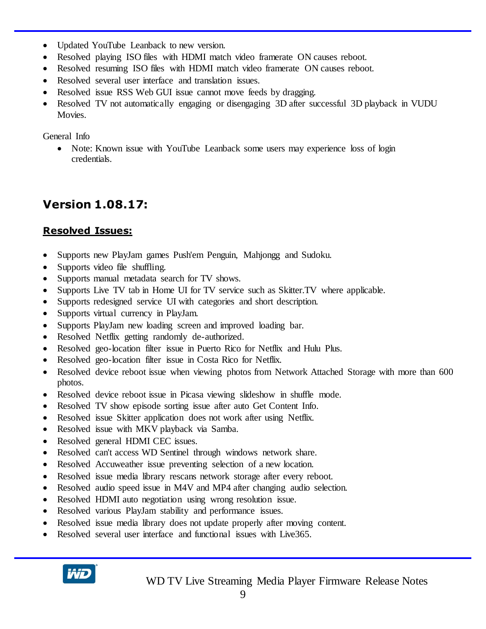- Updated YouTube Leanback to new version.
- Resolved playing ISO files with HDMI match video framerate ON causes reboot.
- Resolved resuming ISO files with HDMI match video framerate ON causes reboot.
- Resolved several user interface and translation issues.
- Resolved issue RSS Web GUI issue cannot move feeds by dragging.
- Resolved TV not automatically engaging or disengaging 3D after successful 3D playback in VUDU Movies.

General Info

• Note: Known issue with YouTube Leanback some users may experience loss of login credentials.

# **Version 1.08.17:**

### **Resolved Issues:**

- Supports new PlayJam games Push'em Penguin, Mahjongg and Sudoku.
- Supports video file shuffling.
- Supports manual metadata search for TV shows.
- Supports Live TV tab in Home UI for TV service such as Skitter.TV where applicable.
- Supports redesigned service UI with categories and short description.
- Supports virtual currency in PlayJam.
- Supports PlayJam new loading screen and improved loading bar.
- Resolved Netflix getting randomly de-authorized.
- Resolved geo-location filter issue in Puerto Rico for Netflix and Hulu Plus.
- Resolved geo-location filter issue in Costa Rico for Netflix.
- Resolved device reboot issue when viewing photos from Network Attached Storage with more than 600 photos.
- Resolved device reboot issue in Picasa viewing slideshow in shuffle mode.
- Resolved TV show episode sorting issue after auto Get Content Info.
- Resolved issue Skitter application does not work after using Netflix.
- Resolved issue with MKV playback via Samba.
- Resolved general HDMI CEC issues.
- Resolved can't access WD Sentinel through windows network share.
- Resolved Accuweather issue preventing selection of a new location.
- Resolved issue media library rescans network storage after every reboot.
- Resolved audio speed issue in M4V and MP4 after changing audio selection.
- Resolved HDMI auto negotiation using wrong resolution issue.
- Resolved various PlayJam stability and performance issues.
- Resolved issue media library does not update properly after moving content.
- Resolved several user interface and functional issues with Live365.

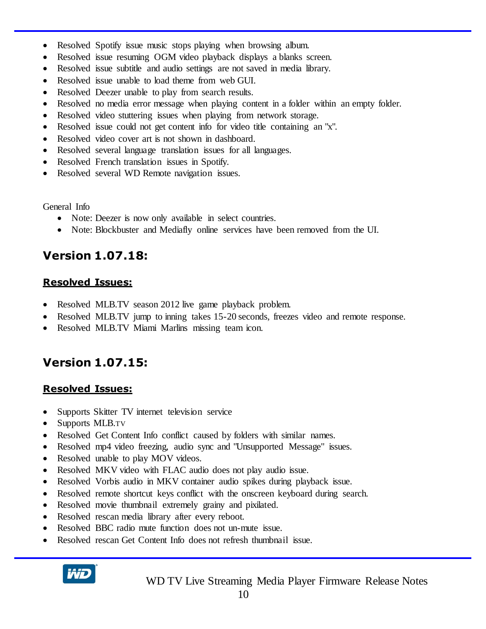- Resolved Spotify issue music stops playing when browsing album.
- Resolved issue resuming OGM video playback displays a blanks screen.
- Resolved issue subtitle and audio settings are not saved in media library.
- Resolved issue unable to load theme from web GUI.
- Resolved Deezer unable to play from search results.
- Resolved no media error message when playing content in a folder within an empty folder.
- Resolved video stuttering issues when playing from network storage.
- Resolved issue could not get content info for video title containing an "x".
- Resolved video cover art is not shown in dashboard.
- Resolved several language translation issues for all languages.
- Resolved French translation issues in Spotify.
- Resolved several WD Remote navigation issues.

General Info

- Note: Deezer is now only available in select countries.
- Note: Blockbuster and Mediafly online services have been removed from the UI.

### **Version 1.07.18:**

### **Resolved Issues:**

- Resolved MLB.TV season 2012 live game playback problem.
- Resolved MLB.TV jump to inning takes 15-20 seconds, freezes video and remote response.
- Resolved MLB.TV Miami Marlins missing team icon.

# **Version 1.07.15:**

### **Resolved Issues:**

- Supports Skitter TV internet television service
- Supports MLB.TV
- Resolved Get Content Info conflict caused by folders with similar names.
- Resolved mp4 video freezing, audio sync and "Unsupported Message" issues.
- Resolved unable to play MOV videos.
- Resolved MKV video with FLAC audio does not play audio issue.
- Resolved Vorbis audio in MKV container audio spikes during playback issue.
- Resolved remote shortcut keys conflict with the onscreen keyboard during search.
- Resolved movie thumbnail extremely grainy and pixilated.
- Resolved rescan media library after every reboot.
- Resolved BBC radio mute function does not un-mute issue.
- Resolved rescan Get Content Info does not refresh thumbnail issue.

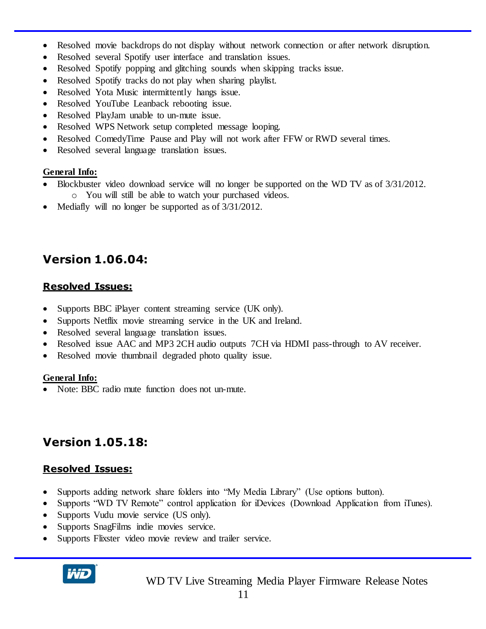- Resolved movie backdrops do not display without network connection or after network disruption.
- Resolved several Spotify user interface and translation issues.
- Resolved Spotify popping and glitching sounds when skipping tracks issue.
- Resolved Spotify tracks do not play when sharing playlist.
- Resolved Yota Music intermittently hangs issue.
- Resolved YouTube Leanback rebooting issue.
- Resolved PlayJam unable to un-mute issue.
- Resolved WPS Network setup completed message looping.
- Resolved ComedyTime Pause and Play will not work after FFW or RWD several times.
- Resolved several language translation issues.

### **General Info:**

- Blockbuster video download service will no longer be supported on the WD TV as of 3/31/2012. o You will still be able to watch your purchased videos.
- Mediafly will no longer be supported as of 3/31/2012.

# **Version 1.06.04:**

### **Resolved Issues:**

- Supports BBC iPlayer content streaming service (UK only).
- Supports Netflix movie streaming service in the UK and Ireland.
- Resolved several language translation issues.
- Resolved issue AAC and MP3 2CH audio outputs 7CH via HDMI pass-through to AV receiver.
- Resolved movie thumbnail degraded photo quality issue.

### **General Info:**

• Note: BBC radio mute function does not un-mute.

### **Version 1.05.18:**

### **Resolved Issues:**

- Supports adding network share folders into "My Media Library" (Use options button).
- Supports "WD TV Remote" control application for iDevices (Download Application from iTunes).
- Supports Vudu movie service (US only).
- Supports SnagFilms indie movies service.
- Supports Flixster video movie review and trailer service.

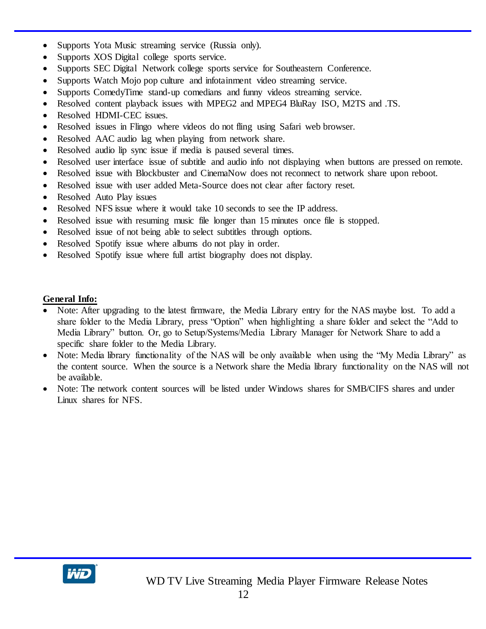- Supports Yota Music streaming service (Russia only).
- Supports XOS Digital college sports service.
- Supports SEC Digital Network college sports service for Southeastern Conference.
- Supports Watch Mojo pop culture and infotainment video streaming service.
- Supports ComedyTime stand-up comedians and funny videos streaming service.
- Resolved content playback issues with MPEG2 and MPEG4 BluRay ISO, M2TS and .TS.
- Resolved HDMI-CEC issues.
- Resolved issues in Flingo where videos do not fling using Safari web browser.
- Resolved AAC audio lag when playing from network share.
- Resolved audio lip sync issue if media is paused several times.
- Resolved user interface issue of subtitle and audio info not displaying when buttons are pressed on remote.
- Resolved issue with Blockbuster and CinemaNow does not reconnect to network share upon reboot.
- Resolved issue with user added Meta-Source does not clear after factory reset.
- Resolved Auto Play issues
- Resolved NFS issue where it would take 10 seconds to see the IP address.
- Resolved issue with resuming music file longer than 15 minutes once file is stopped.
- Resolved issue of not being able to select subtitles through options.
- Resolved Spotify issue where albums do not play in order.
- Resolved Spotify issue where full artist biography does not display.

#### **General Info:**

- Note: After upgrading to the latest firmware, the Media Library entry for the NAS maybe lost. To add a share folder to the Media Library, press "Option" when highlighting a share folder and select the "Add to Media Library" button. Or, go to Setup/Systems/Media Library Manager for Network Share to add a specific share folder to the Media Library.
- Note: Media library functionality of the NAS will be only available when using the "My Media Library" as the content source. When the source is a Network share the Media library functionality on the NAS will not be available.
- Note: The network content sources will be listed under Windows shares for SMB/CIFS shares and under Linux shares for NFS.

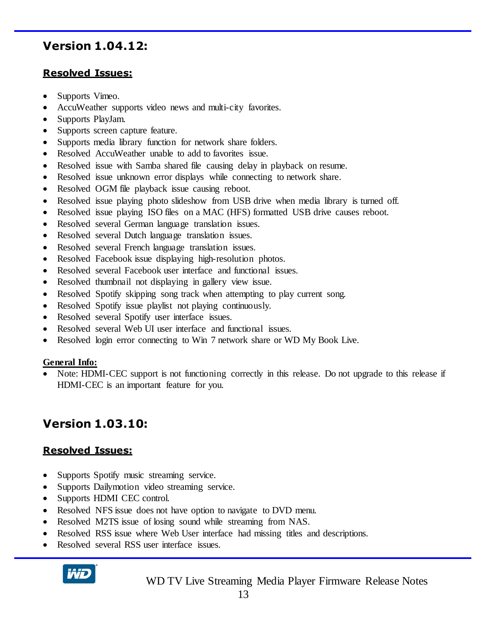### **Version 1.04.12:**

### **Resolved Issues:**

- Supports Vimeo.
- AccuWeather supports video news and multi-city favorites.
- Supports PlayJam.
- Supports screen capture feature.
- Supports media library function for network share folders.
- Resolved AccuWeather unable to add to favorites issue.
- Resolved issue with Samba shared file causing delay in playback on resume.
- Resolved issue unknown error displays while connecting to network share.
- Resolved OGM file playback issue causing reboot.
- Resolved issue playing photo slideshow from USB drive when media library is turned off.
- Resolved issue playing ISO files on a MAC (HFS) formatted USB drive causes reboot.
- Resolved several German language translation issues.
- Resolved several Dutch language translation issues.
- Resolved several French language translation issues.
- Resolved Facebook issue displaying high-resolution photos.
- Resolved several Facebook user interface and functional issues.
- Resolved thumbnail not displaying in gallery view issue.
- Resolved Spotify skipping song track when attempting to play current song.
- Resolved Spotify issue playlist not playing continuously.
- Resolved several Spotify user interface issues.
- Resolved several Web UI user interface and functional issues.
- Resolved login error connecting to Win 7 network share or WD My Book Live.

#### **General Info:**

 Note: HDMI-CEC support is not functioning correctly in this release. Do not upgrade to this release if HDMI-CEC is an important feature for you.

### **Version 1.03.10:**

### **Resolved Issues:**

- Supports Spotify music streaming service.
- Supports Dailymotion video streaming service.
- Supports HDMI CEC control.
- Resolved NFS issue does not have option to navigate to DVD menu.
- Resolved M2TS issue of losing sound while streaming from NAS.
- Resolved RSS issue where Web User interface had missing titles and descriptions.
- Resolved several RSS user interface issues.

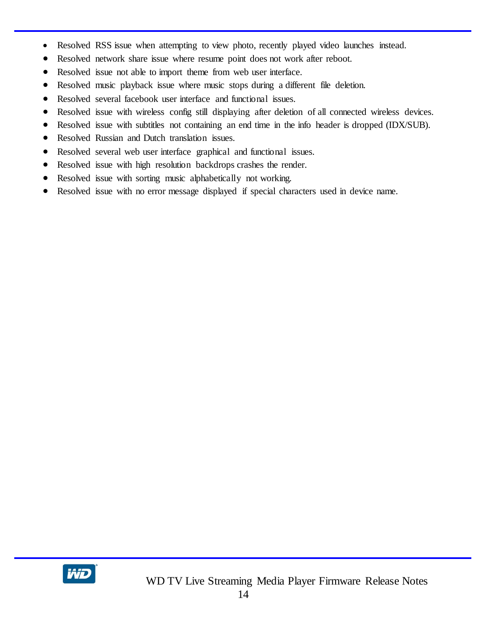- Resolved RSS issue when attempting to view photo, recently played video launches instead.
- Resolved network share issue where resume point does not work after reboot.
- Resolved issue not able to import theme from web user interface.
- Resolved music playback issue where music stops during a different file deletion.
- Resolved several facebook user interface and functional issues.
- Resolved issue with wireless config still displaying after deletion of all connected wireless devices.
- Resolved issue with subtitles not containing an end time in the info header is dropped (IDX/SUB).
- Resolved Russian and Dutch translation issues.
- Resolved several web user interface graphical and functional issues.
- Resolved issue with high resolution backdrops crashes the render.
- Resolved issue with sorting music alphabetically not working.
- Resolved issue with no error message displayed if special characters used in device name.

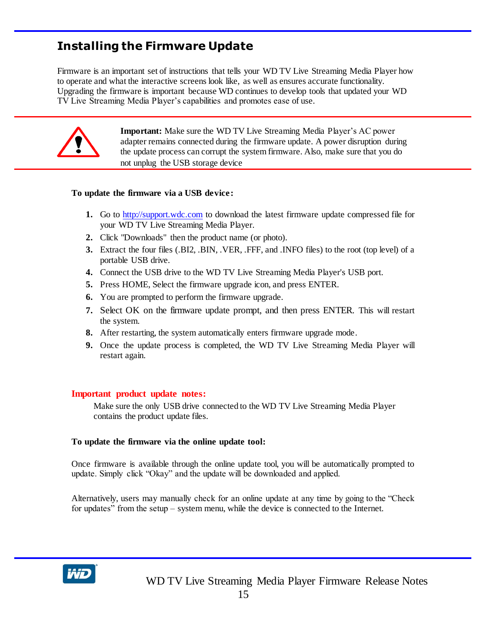# **Installing the Firmware Update**

Firmware is an important set of instructions that tells your WD TV Live Streaming Media Player how to operate and what the interactive screens look like, as well as ensures accurate functionality. Upgrading the firmware is important because WD continues to develop tools that updated your WD TV Live Streaming Media Player's capabilities and promotes ease of use.



**Important:** Make sure the WD TV Live Streaming Media Player's AC power adapter remains connected during the firmware update. A power disruption during the update process can corrupt the system firmware. Also, make sure that you do not unplug the USB storage device

#### **To update the firmware via a USB device:**

- **1.** Go to [http://support.wdc.com](http://support.wdc.com/) to download the latest firmware update compressed file for your WD TV Live Streaming Media Player.
- **2.** Click "Downloads" then the product name (or photo).
- **3.** Extract the four files (.BI2, .BIN, .VER, .FFF, and .INFO files) to the root (top level) of a portable USB drive.
- **4.** Connect the USB drive to the WD TV Live Streaming Media Player's USB port.
- **5.** Press HOME, Select the firmware upgrade icon, and press ENTER.
- **6.** You are prompted to perform the firmware upgrade.
- **7.** Select OK on the firmware update prompt, and then press ENTER. This will restart the system.
- **8.** After restarting, the system automatically enters firmware upgrade mode.
- **9.** Once the update process is completed, the WD TV Live Streaming Media Player will restart again.

#### **Important product update notes:**

Make sure the only USB drive connected to the WD TV Live Streaming Media Player contains the product update files.

#### **To update the firmware via the online update tool:**

Once firmware is available through the online update tool, you will be automatically prompted to update. Simply click "Okay" and the update will be downloaded and applied.

Alternatively, users may manually check for an online update at any time by going to the "Check for updates" from the setup – system menu, while the device is connected to the Internet.